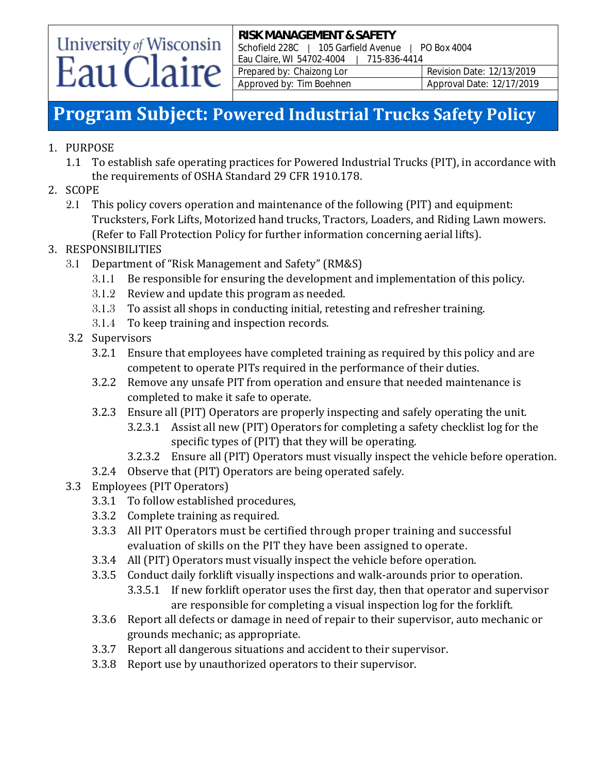# University of Wisconsin Eau Claire

**RISK MANAGEMENT & SAFETY** Schofield 228C | 105 Garfield Avenue | PO Box 4004 Eau Claire, WI 54702-4004 | 715-836-4414 Prepared by: Chaizong Lor Revision Date: 12/13/2019 Approved by: Tim Boehnen Approval Date: 12/17/2019

### **Program Subject: Powered Industrial Trucks Safety Policy**

### 1. PURPOSE

- 1.1 To establish safe operating practices for Powered Industrial Trucks (PIT), in accordance with the requirements of OSHA Standard 29 CFR 1910.178.
- 2. SCOPE
	- 2.1 This policy covers operation and maintenance of the following (PIT) and equipment: Trucksters, Fork Lifts, Motorized hand trucks, Tractors, Loaders, and Riding Lawn mowers. (Refer to Fall Protection Policy for further information concerning aerial lifts).

### 3. RESPONSIBILITIES

- 3.1 Department of "Risk Management and Safety" (RM&S)
	- 3.1.1 Be responsible for ensuring the development and implementation of this policy.
	- 3.1.2 Review and update this program as needed.
	- 3.1.3 To assist all shops in conducting initial, retesting and refresher training.
	- 3.1.4 To keep training and inspection records.
- 3.2 Supervisors
	- 3.2.1 Ensure that employees have completed training as required by this policy and are competent to operate PITs required in the performance of their duties.
	- 3.2.2 Remove any unsafe PIT from operation and ensure that needed maintenance is completed to make it safe to operate.
	- 3.2.3 Ensure all (PIT) Operators are properly inspecting and safely operating the unit.
		- 3.2.3.1 Assist all new (PIT) Operators for completing a safety checklist log for the specific types of (PIT) that they will be operating.
		- 3.2.3.2 Ensure all (PIT) Operators must visually inspect the vehicle before operation.
	- 3.2.4 Observe that (PIT) Operators are being operated safely.
- 3.3 Employees (PIT Operators)
	- 3.3.1 To follow established procedures,
	- 3.3.2 Complete training as required.
	- 3.3.3 All PIT Operators must be certified through proper training and successful evaluation of skills on the PIT they have been assigned to operate.
	- 3.3.4 All (PIT) Operators must visually inspect the vehicle before operation.
	- 3.3.5 Conduct daily forklift visually inspections and walk-arounds prior to operation.
		- 3.3.5.1 If new forklift operator uses the first day, then that operator and supervisor are responsible for completing a visual inspection log for the forklift.
	- 3.3.6 Report all defects or damage in need of repair to their supervisor, auto mechanic or grounds mechanic; as appropriate.
	- 3.3.7 Report all dangerous situations and accident to their supervisor.
	- 3.3.8 Report use by unauthorized operators to their supervisor.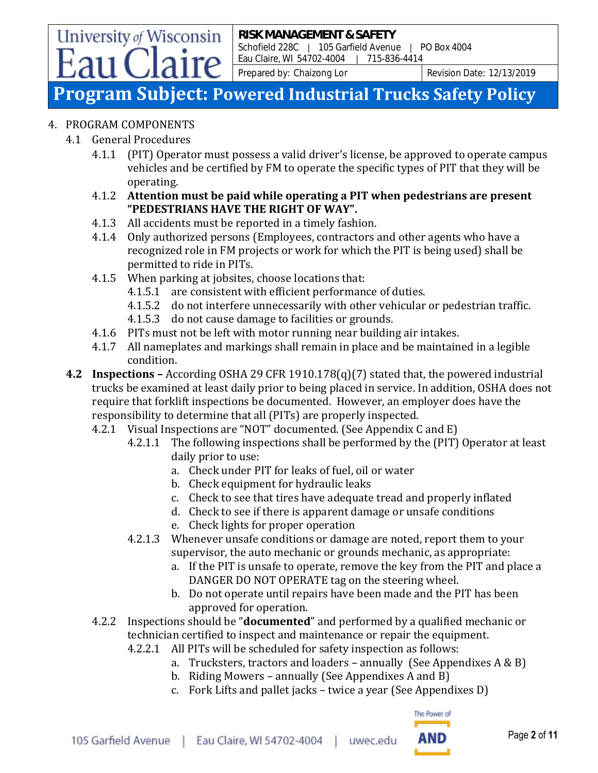Prepared by: Chaizong Lor Revision Date: 12/13/2019

### **Program Subject: Powered Industrial Trucks Safety Policy**

### 4. PROGRAM COMPONENTS

4.1 General Procedures

University of Wisconsin

- 4.1.1 (PIT) Operator must possess a valid driver's license, be approved to operate campus vehicles and be certified by FM to operate the specific types of PIT that they will be operating.
- 4.1.2 **Attention must be paid while operating a PIT when pedestrians are present "PEDESTRIANS HAVE THE RIGHT OF WAY".**
- 4.1.3 All accidents must be reported in a timely fashion.
- 4.1.4 Only authorized persons (Employees, contractors and other agents who have a recognized role in FM projects or work for which the PIT is being used) shall be permitted to ride in PITs.
- 4.1.5 When parking at jobsites, choose locations that:
	- 4.1.5.1 are consistent with efficient performance of duties.
	- 4.1.5.2 do not interfere unnecessarily with other vehicular or pedestrian traffic.
	- 4.1.5.3 do not cause damage to facilities or grounds.
- 4.1.6 PITs must not be left with motor running near building air intakes.
- 4.1.7 All nameplates and markings shall remain in place and be maintained in a legible condition.
- **4.2 Inspections –** According OSHA 29 CFR 1910.178(q)(7) stated that, the powered industrial trucks be examined at least daily prior to being placed in service. In addition, OSHA does not require that forklift inspections be documented.However, an employer does have the responsibility to determine that all (PITs) are properly inspected.
	- 4.2.1 Visual Inspections are "NOT" documented. (See Appendix C and E)
		- 4.2.1.1 The following inspections shall be performed by the (PIT) Operator at least daily prior to use:
			- a. Check under PIT for leaks of fuel, oil or water
			- b. Check equipment for hydraulic leaks
			- c. Check to see that tires have adequate tread and properly inflated
			- d. Check to see if there is apparent damage or unsafe conditions
			- e. Check lights for proper operation
		- 4.2.1.3 Whenever unsafe conditions or damage are noted, report them to your supervisor, the auto mechanic or grounds mechanic, as appropriate:
			- a. If the PIT is unsafe to operate, remove the key from the PIT and place a DANGER DO NOT OPERATE tag on the steering wheel.
			- b. Do not operate until repairs have been made and the PIT has been approved for operation.
	- 4.2.2 Inspections should be "**documented**" and performed by a qualified mechanic or technician certified to inspect and maintenance or repair the equipment.
		- 4.2.2.1 All PITs will be scheduled for safety inspection as follows:
			- a. Trucksters, tractors and loaders annually (See Appendixes  $A \& B$ )
			- b. Riding Mowers annually (See Appendixes A and B)
			- c. Fork Lifts and pallet jacks twice a year (See Appendixes D)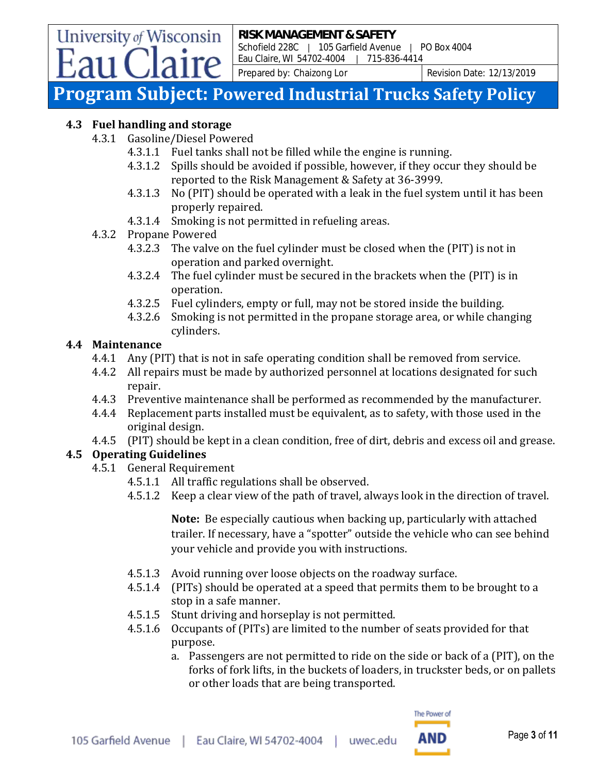Prepared by: Chaizong Lor Revision Date: 12/13/2019

### **Program Subject: Powered Industrial Trucks Safety Policy**

#### **4.3 Fuel handling and storage**

University of Wisconsin

4.3.1 Gasoline/Diesel Powered

aire

- 4.3.1.1 Fuel tanks shall not be filled while the engine is running.
- 4.3.1.2 Spills should be avoided if possible, however, if they occur they should be reported to the Risk Management & Safety at 36-3999.
- 4.3.1.3 No (PIT) should be operated with a leak in the fuel system until it has been properly repaired.
- 4.3.1.4 Smoking is not permitted in refueling areas.
- 4.3.2 Propane Powered
	- 4.3.2.3 The valve on the fuel cylinder must be closed when the (PIT) is not in operation and parked overnight.
	- 4.3.2.4 The fuel cylinder must be secured in the brackets when the (PIT) is in operation.
	- 4.3.2.5 Fuel cylinders, empty or full, may not be stored inside the building.
	- 4.3.2.6 Smoking is not permitted in the propane storage area, or while changing cylinders.

#### **4.4 Maintenance**

- 4.4.1 Any (PIT) that is not in safe operating condition shall be removed from service.
- 4.4.2 All repairs must be made by authorized personnel at locations designated for such repair.
- 4.4.3 Preventive maintenance shall be performed as recommended by the manufacturer.
- 4.4.4 Replacement parts installed must be equivalent, as to safety, with those used in the original design.
- 4.4.5 (PIT) should be kept in a clean condition, free of dirt, debris and excess oil and grease.

### **4.5 Operating Guidelines**

- 4.5.1 General Requirement
	- 4.5.1.1 All traffic regulations shall be observed.
	- 4.5.1.2 Keep a clear view of the path of travel, always look in the direction of travel.

**Note:** Be especially cautious when backing up, particularly with attached trailer. If necessary, have a "spotter" outside the vehicle who can see behind your vehicle and provide you with instructions.

- 4.5.1.3 Avoid running over loose objects on the roadway surface.
- 4.5.1.4 (PITs) should be operated at a speed that permits them to be brought to a stop in a safe manner.
- 4.5.1.5 Stunt driving and horseplay is not permitted.
- 4.5.1.6 Occupants of (PITs) are limited to the number of seats provided for that purpose.
	- a. Passengers are not permitted to ride on the side or back of a (PIT), on the forks of fork lifts, in the buckets of loaders, in truckster beds, or on pallets or other loads that are being transported.

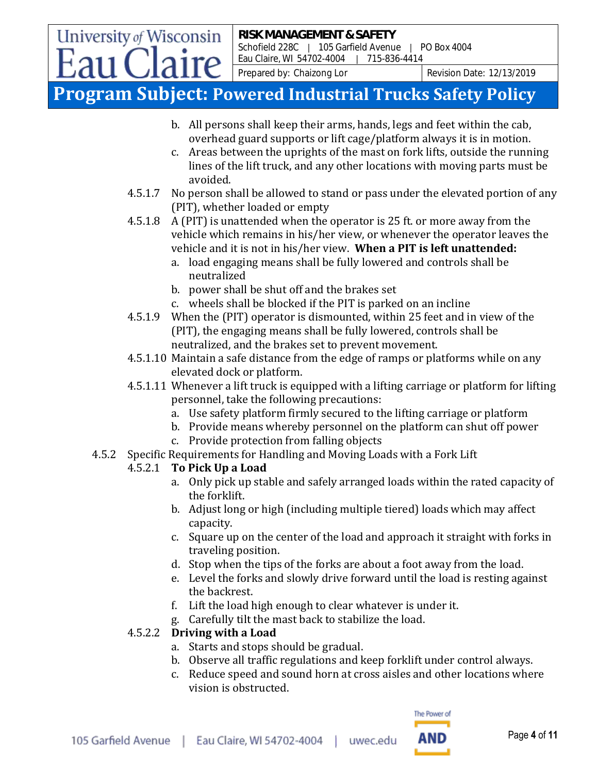Prepared by: Chaizong Lor Revision Date: 12/13/2019

### **Program Subject: Powered Industrial Trucks Safety Policy**

- b. All persons shall keep their arms, hands, legs and feet within the cab, overhead guard supports or lift cage/platform always it is in motion.
- c. Areas between the uprights of the mast on fork lifts, outside the running lines of the lift truck, and any other locations with moving parts must be avoided.
- 4.5.1.7 No person shall be allowed to stand or pass under the elevated portion of any (PIT), whether loaded or empty
- 4.5.1.8 A (PIT) is unattended when the operator is 25 ft. or more away from the vehicle which remains in his/her view, or whenever the operator leaves the vehicle and it is not in his/her view. **When a PIT is left unattended:**
	- a. load engaging means shall be fully lowered and controls shall be neutralized
	- b. power shall be shut off and the brakes set
	- c. wheels shall be blocked if the PIT is parked on an incline
- 4.5.1.9 When the (PIT) operator is dismounted, within 25 feet and in view of the (PIT), the engaging means shall be fully lowered, controls shall be neutralized, and the brakes set to prevent movement.
- 4.5.1.10 Maintain a safe distance from the edge of ramps or platforms while on any elevated dock or platform.
- 4.5.1.11 Whenever a lift truck is equipped with a lifting carriage or platform for lifting personnel, take the following precautions:
	- a. Use safety platform firmly secured to the lifting carriage or platform
	- b. Provide means whereby personnel on the platform can shut off power
	- c. Provide protection from falling objects
- 4.5.2 Specific Requirements for Handling and Moving Loads with a Fork Lift

### 4.5.2.1 **To Pick Up a Load**

University of Wisconsin

aire

- a. Only pick up stable and safely arranged loads within the rated capacity of the forklift.
- b. Adjust long or high (including multiple tiered) loads which may affect capacity.
- c. Square up on the center of the load and approach it straight with forks in traveling position.
- d. Stop when the tips of the forks are about a foot away from the load.
- e. Level the forks and slowly drive forward until the load is resting against the backrest.
- f. Lift the load high enough to clear whatever is under it.
- g. Carefully tilt the mast back to stabilize the load.

### 4.5.2.2 **Driving with a Load**

- a. Starts and stops should be gradual.
- b. Observe all traffic regulations and keep forklift under control always.
- c. Reduce speed and sound horn at cross aisles and other locations where vision is obstructed.

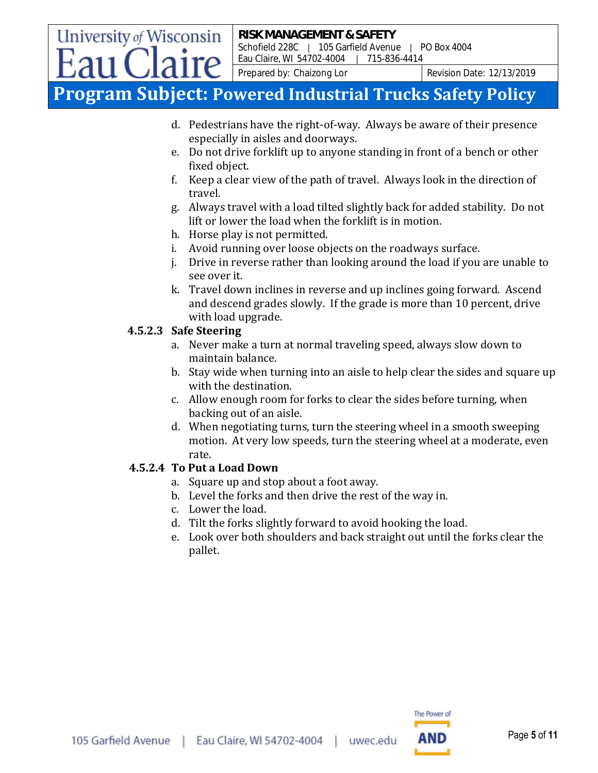Prepared by: Chaizong Lor Revision Date: 12/13/2019

### **Program Subject: Powered Industrial Trucks Safety Policy**

- d. Pedestrians have the right-of-way. Always be aware of their presence especially in aisles and doorways.
- e. Do not drive forklift up to anyone standing in front of a bench or other fixed object.
- f. Keep a clear view of the path of travel. Always look in the direction of travel.
- g. Always travel with a load tilted slightly back for added stability. Do not lift or lower the load when the forklift is in motion.
- h. Horse play is not permitted.
- i. Avoid running over loose objects on the roadways surface.
- j. Drive in reverse rather than looking around the load if you are unable to see over it.
- k. Travel down inclines in reverse and up inclines going forward. Ascend and descend grades slowly. If the grade is more than 10 percent, drive with load upgrade.

### **4.5.2.3 Safe Steering**

University of Wisconsin

- a. Never make a turn at normal traveling speed, always slow down to maintain balance.
- b. Stay wide when turning into an aisle to help clear the sides and square up with the destination.
- c. Allow enough room for forks to clear the sides before turning, when backing out of an aisle.
- d. When negotiating turns, turn the steering wheel in a smooth sweeping motion. At very low speeds, turn the steering wheel at a moderate, even rate.

### **4.5.2.4 To Put a Load Down**

- a. Square up and stop about a foot away.
- b. Level the forks and then drive the rest of the way in.
- c. Lower the load.
- d. Tilt the forks slightly forward to avoid hooking the load.
- e. Look over both shoulders and back straight out until the forks clear the pallet.

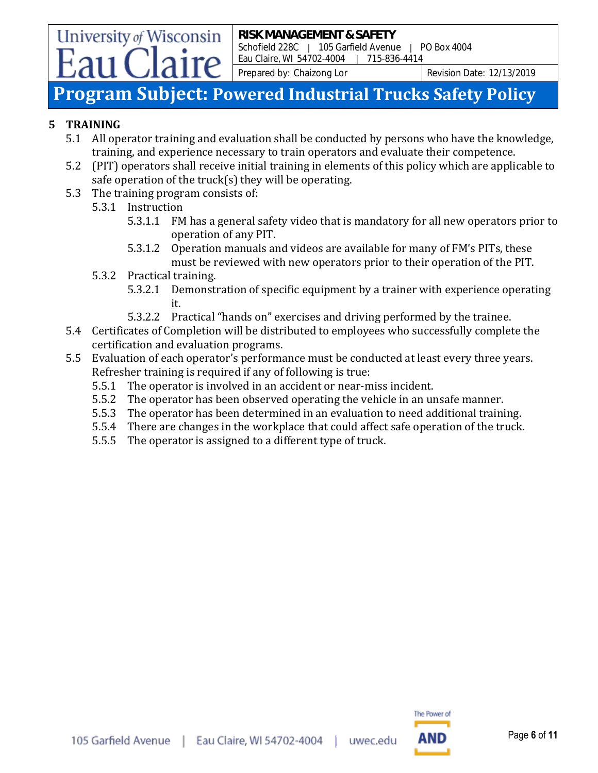Prepared by: Chaizong Lor Revision Date: 12/13/2019

### **Program Subject: Powered Industrial Trucks Safety Policy**

#### **5 TRAINING**

- 5.1 All operator training and evaluation shall be conducted by persons who have the knowledge, training, and experience necessary to train operators and evaluate their competence.
- 5.2 (PIT) operators shall receive initial training in elements of this policy which are applicable to safe operation of the truck(s) they will be operating.
- 5.3 The training program consists of:
	- 5.3.1 Instruction

University of Wisconsin

- 5.3.1.1 FM has a general safety video that is mandatory for all new operators prior to operation of any PIT.
- 5.3.1.2 Operation manuals and videos are available for many of FM's PITs, these must be reviewed with new operators prior to their operation of the PIT.
- 5.3.2 Practical training.
	- 5.3.2.1 Demonstration of specific equipment by a trainer with experience operating it.
	- 5.3.2.2 Practical "hands on" exercises and driving performed by the trainee.
- 5.4 Certificates of Completion will be distributed to employees who successfully complete the certification and evaluation programs.
- 5.5 Evaluation of each operator's performance must be conducted at least every three years. Refresher training is required if any of following is true:
	- 5.5.1 The operator is involved in an accident or near-miss incident.
	- 5.5.2 The operator has been observed operating the vehicle in an unsafe manner.
	- 5.5.3 The operator has been determined in an evaluation to need additional training.
	- 5.5.4 There are changes in the workplace that could affect safe operation of the truck.
	- 5.5.5 The operator is assigned to a different type of truck.

The Power of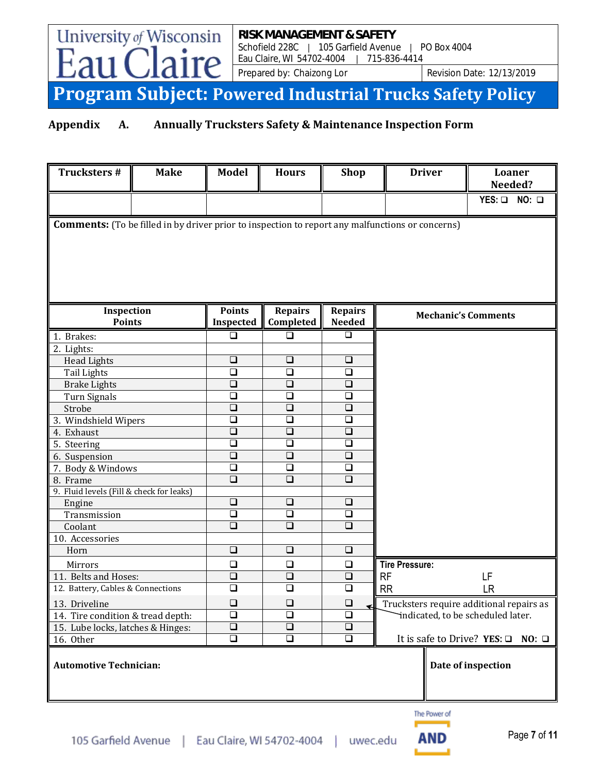Prepared by: Chaizong Lor Revision Date: 12/13/2019

# **Program Subject: Powered Industrial Trucks Safety Policy**

### **Appendix A. Annually Trucksters Safety & Maintenance Inspection Form**

 $r_{\mathcal{C}}$ 

University of Wisconsin

 $F_{211}$  (

|                                                                                                         |                      |                      |                      |                                                                               | $YES: \square$ NO: $\square$                |  |  |  |  |
|---------------------------------------------------------------------------------------------------------|----------------------|----------------------|----------------------|-------------------------------------------------------------------------------|---------------------------------------------|--|--|--|--|
| <b>Comments:</b> (To be filled in by driver prior to inspection to report any malfunctions or concerns) |                      |                      |                      |                                                                               |                                             |  |  |  |  |
|                                                                                                         |                      |                      |                      |                                                                               |                                             |  |  |  |  |
|                                                                                                         |                      |                      |                      |                                                                               |                                             |  |  |  |  |
|                                                                                                         |                      |                      |                      |                                                                               |                                             |  |  |  |  |
|                                                                                                         |                      |                      |                      |                                                                               |                                             |  |  |  |  |
|                                                                                                         |                      |                      |                      |                                                                               |                                             |  |  |  |  |
|                                                                                                         |                      |                      |                      |                                                                               |                                             |  |  |  |  |
| Inspection                                                                                              | <b>Points</b>        | <b>Repairs</b>       | <b>Repairs</b>       |                                                                               |                                             |  |  |  |  |
| <b>Points</b>                                                                                           | Inspected            | Completed            | <b>Needed</b>        | <b>Mechanic's Comments</b>                                                    |                                             |  |  |  |  |
| 1. Brakes:                                                                                              | $\Box$               | □                    | $\Box$               |                                                                               |                                             |  |  |  |  |
| 2. Lights:                                                                                              |                      |                      |                      |                                                                               |                                             |  |  |  |  |
| <b>Head Lights</b>                                                                                      | $\Box$               | $\Box$               | $\Box$               |                                                                               |                                             |  |  |  |  |
| <b>Tail Lights</b>                                                                                      | $\overline{\square}$ | $\overline{\square}$ | $\Box$               |                                                                               |                                             |  |  |  |  |
| <b>Brake Lights</b>                                                                                     | $\Box$               | $\Box$               | $\Box$               |                                                                               |                                             |  |  |  |  |
| Turn Signals                                                                                            | $\Box$               | $\Box$               | $\Box$               |                                                                               |                                             |  |  |  |  |
| Strobe                                                                                                  | $\overline{\square}$ | $\overline{\square}$ | $\overline{\square}$ |                                                                               |                                             |  |  |  |  |
| 3. Windshield Wipers                                                                                    | $\Box$               | $\Box$               | $\Box$               |                                                                               |                                             |  |  |  |  |
| 4. Exhaust                                                                                              | $\overline{\square}$ | $\overline{\square}$ | $\overline{\square}$ |                                                                               |                                             |  |  |  |  |
| 5. Steering                                                                                             | $\overline{\square}$ | $\Box$               | $\Box$               |                                                                               |                                             |  |  |  |  |
| 6. Suspension                                                                                           | $\Box$               | $\Box$               | $\Box$               |                                                                               |                                             |  |  |  |  |
| 7. Body & Windows                                                                                       | $\overline{\square}$ | $\Box$               | $\Box$               |                                                                               |                                             |  |  |  |  |
| 8. Frame                                                                                                | $\overline{\square}$ | $\Box$               | $\Box$               |                                                                               |                                             |  |  |  |  |
| 9. Fluid levels (Fill & check for leaks)                                                                | $\overline{\square}$ | $\Box$               | $\Box$               |                                                                               |                                             |  |  |  |  |
| Engine                                                                                                  | $\Box$               | $\Box$               | $\Box$               |                                                                               |                                             |  |  |  |  |
| Transmission<br>Coolant                                                                                 | $\Box$               | $\Box$               | $\Box$               |                                                                               |                                             |  |  |  |  |
| 10. Accessories                                                                                         |                      |                      |                      |                                                                               |                                             |  |  |  |  |
| Horn                                                                                                    | $\Box$               | $\Box$               | $\Box$               |                                                                               |                                             |  |  |  |  |
| Mirrors                                                                                                 | $\Box$               | $\Box$               | $\Box$               | <b>Tire Pressure:</b>                                                         |                                             |  |  |  |  |
| 11. Belts and Hoses:                                                                                    | $\overline{\square}$ | $\overline{\square}$ | $\Box$               | <b>RF</b>                                                                     | LF                                          |  |  |  |  |
| 12. Battery, Cables & Connections                                                                       | $\Box$               | $\Box$               | $\Box$               | <b>RR</b>                                                                     | <b>LR</b>                                   |  |  |  |  |
|                                                                                                         |                      |                      |                      |                                                                               |                                             |  |  |  |  |
| 13. Driveline                                                                                           | $\Box$<br>$\Box$     | $\Box$<br>$\Box$     | $\Box$<br>$\Box$     | Trucksters require additional repairs as<br>indicated, to be scheduled later. |                                             |  |  |  |  |
| 14. Tire condition & tread depth:<br>15. Lube locks, latches & Hinges:                                  | $\Box$               | $\Box$               | $\Box$               |                                                                               |                                             |  |  |  |  |
| 16. Other                                                                                               | $\Box$               | $\Box$               | $\Box$               |                                                                               | It is safe to Drive? YES: $\Box$ NO: $\Box$ |  |  |  |  |
|                                                                                                         |                      |                      |                      |                                                                               |                                             |  |  |  |  |
| <b>Automotive Technician:</b>                                                                           |                      |                      |                      |                                                                               | Date of inspection                          |  |  |  |  |
|                                                                                                         |                      |                      |                      |                                                                               |                                             |  |  |  |  |
|                                                                                                         |                      |                      |                      |                                                                               |                                             |  |  |  |  |
|                                                                                                         |                      |                      |                      |                                                                               |                                             |  |  |  |  |
|                                                                                                         |                      |                      |                      | The Power of                                                                  |                                             |  |  |  |  |
|                                                                                                         |                      |                      |                      |                                                                               | <b>Pane 7 of 11</b>                         |  |  |  |  |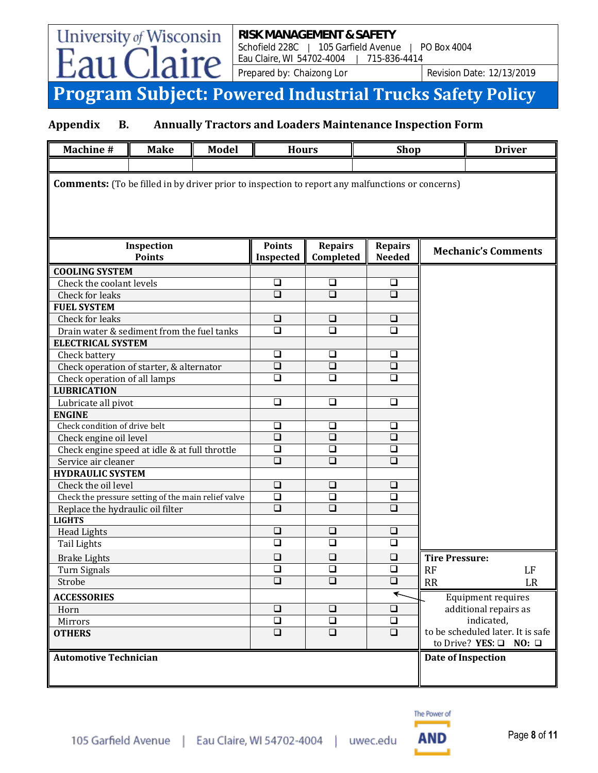Prepared by: Chaizong Lor Revision Date: 12/13/2019

# **Program Subject: Powered Industrial Trucks Safety Policy**

### **Appendix B. Annually Tractors and Loaders Maintenance Inspection Form**

University of Wisconsin

re

- ิลบ

| <b>Machine#</b>                                                                                         | <b>Make</b> | <b>Model</b> | <b>Hours</b>               |                             | <b>Shop</b>                     |                            | <b>Driver</b>                                                               |    |  |  |
|---------------------------------------------------------------------------------------------------------|-------------|--------------|----------------------------|-----------------------------|---------------------------------|----------------------------|-----------------------------------------------------------------------------|----|--|--|
|                                                                                                         |             |              |                            |                             |                                 |                            |                                                                             |    |  |  |
| <b>Comments:</b> (To be filled in by driver prior to inspection to report any malfunctions or concerns) |             |              |                            |                             |                                 |                            |                                                                             |    |  |  |
| Inspection<br><b>Points</b>                                                                             |             |              | <b>Points</b><br>Inspected | <b>Repairs</b><br>Completed | <b>Repairs</b><br><b>Needed</b> | <b>Mechanic's Comments</b> |                                                                             |    |  |  |
| <b>COOLING SYSTEM</b>                                                                                   |             |              |                            |                             |                                 |                            |                                                                             |    |  |  |
| Check the coolant levels                                                                                |             |              | $\Box$                     | □                           | $\Box$                          |                            |                                                                             |    |  |  |
| Check for leaks                                                                                         |             |              | $\overline{\square}$       | $\Box$                      | $\overline{\square}$            |                            |                                                                             |    |  |  |
| <b>FUEL SYSTEM</b>                                                                                      |             |              |                            |                             |                                 |                            |                                                                             |    |  |  |
| Check for leaks                                                                                         |             |              | $\Box$                     | $\Box$                      | $\Box$                          |                            |                                                                             |    |  |  |
| Drain water & sediment from the fuel tanks                                                              |             |              | $\Box$                     | $\Box$                      | $\Box$                          |                            |                                                                             |    |  |  |
| <b>ELECTRICAL SYSTEM</b>                                                                                |             |              |                            |                             |                                 |                            |                                                                             |    |  |  |
| Check battery                                                                                           |             |              | $\Box$                     | ❏                           | $\Box$                          |                            |                                                                             |    |  |  |
| Check operation of starter, & alternator                                                                |             |              | $\overline{\square}$       | $\Box$                      | $\Box$                          |                            |                                                                             |    |  |  |
| Check operation of all lamps                                                                            |             |              | $\Box$                     | □                           | □                               |                            |                                                                             |    |  |  |
| <b>LUBRICATION</b>                                                                                      |             |              |                            |                             |                                 |                            |                                                                             |    |  |  |
| Lubricate all pivot                                                                                     |             |              | $\Box$                     | $\Box$                      | $\Box$                          |                            |                                                                             |    |  |  |
| <b>ENGINE</b>                                                                                           |             |              |                            |                             |                                 |                            |                                                                             |    |  |  |
| Check condition of drive belt                                                                           |             |              | $\Box$                     | ❏                           | ❏                               |                            |                                                                             |    |  |  |
| Check engine oil level                                                                                  |             |              | $\Box$                     | $\Box$                      | $\Box$                          |                            |                                                                             |    |  |  |
| Check engine speed at idle & at full throttle                                                           |             |              | $\Box$                     | $\Box$                      | $\Box$                          |                            |                                                                             |    |  |  |
| Service air cleaner                                                                                     |             |              | $\Box$                     | $\Box$                      | $\Box$                          |                            |                                                                             |    |  |  |
| <b>HYDRAULIC SYSTEM</b>                                                                                 |             |              |                            |                             |                                 |                            |                                                                             |    |  |  |
| Check the oil level                                                                                     |             |              | $\Box$                     | $\Box$                      | $\Box$                          |                            |                                                                             |    |  |  |
| Check the pressure setting of the main relief valve                                                     |             |              | $\overline{\square}$       | $\overline{\square}$        | $\Box$                          |                            |                                                                             |    |  |  |
| Replace the hydraulic oil filter                                                                        |             |              | $\Box$                     | $\Box$                      | $\Box$                          |                            |                                                                             |    |  |  |
| <b>LIGHTS</b>                                                                                           |             |              |                            |                             |                                 |                            |                                                                             |    |  |  |
| <b>Head Lights</b>                                                                                      |             |              | $\Box$                     | $\Box$                      | $\Box$                          |                            |                                                                             |    |  |  |
| Tail Lights                                                                                             |             |              | $\Box$                     | $\Box$                      | $\Box$                          |                            |                                                                             |    |  |  |
| <b>Brake Lights</b>                                                                                     |             |              | $\Box$                     | $\Box$                      | $\Box$                          | <b>Tire Pressure:</b>      |                                                                             |    |  |  |
| Turn Signals                                                                                            |             |              | $\overline{\square}$       | $\Box$                      | $\Box$                          | <b>RF</b>                  |                                                                             | LF |  |  |
| Strobe                                                                                                  |             |              | $\overline{\square}$       | $\Box$                      | $\square$                       | RR                         |                                                                             | LR |  |  |
| <b>ACCESSORIES</b>                                                                                      |             |              |                            |                             | $\blacklozenge$                 |                            | <b>Equipment requires</b>                                                   |    |  |  |
| Horn                                                                                                    |             |              | $\overline{\square}$       | $\Box$                      | $\Box$                          |                            | additional repairs as                                                       |    |  |  |
| Mirrors                                                                                                 |             |              | $\Box$                     | $\Box$                      | $\Box$                          |                            | indicated,                                                                  |    |  |  |
| <b>OTHERS</b>                                                                                           |             |              | $\Box$                     | $\Box$                      | $\Box$                          |                            | to be scheduled later. It is safe<br>to Drive? YES: $\square$ NO: $\square$ |    |  |  |
| <b>Automotive Technician</b>                                                                            |             |              |                            |                             |                                 |                            | Date of Inspection                                                          |    |  |  |
|                                                                                                         |             |              |                            |                             |                                 |                            |                                                                             |    |  |  |

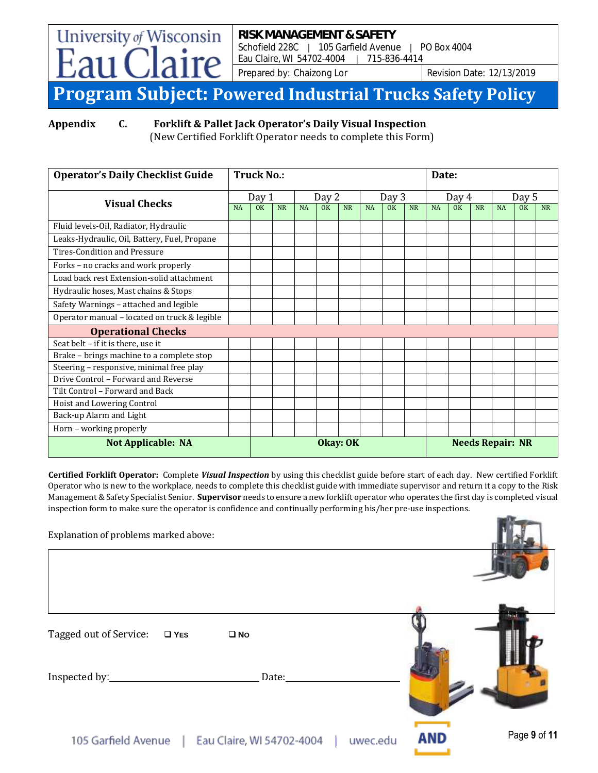Prepared by: Chaizong Lor Revision Date: 12/13/2019

### **Program Subject: Powered Industrial Trucks Safety Policy**

University of Wisconsin

**Appendix C. Forklift & Pallet Jack Operator's Daily Visual Inspection**

(New Certified Forklift Operator needs to complete this Form)

| <b>Operator's Daily Checklist Guide</b>      | <b>Truck No.:</b> |       |           |           |    |           | Date:     |                         |           |           |    |           |           |                |           |
|----------------------------------------------|-------------------|-------|-----------|-----------|----|-----------|-----------|-------------------------|-----------|-----------|----|-----------|-----------|----------------|-----------|
| <b>Visual Checks</b>                         |                   | Day 1 |           | Day 2     |    | Day 3     |           | Day 4                   |           | Day 5     |    |           |           |                |           |
|                                              |                   | OK    | <b>NR</b> | <b>NA</b> | OK | <b>NR</b> | <b>NA</b> | OK                      | <b>NR</b> | <b>NA</b> | OK | <b>NR</b> | <b>NA</b> | 0 <sup>K</sup> | <b>NR</b> |
| Fluid levels-Oil, Radiator, Hydraulic        |                   |       |           |           |    |           |           |                         |           |           |    |           |           |                |           |
| Leaks-Hydraulic, Oil, Battery, Fuel, Propane |                   |       |           |           |    |           |           |                         |           |           |    |           |           |                |           |
| <b>Tires-Condition and Pressure</b>          |                   |       |           |           |    |           |           |                         |           |           |    |           |           |                |           |
| Forks - no cracks and work properly          |                   |       |           |           |    |           |           |                         |           |           |    |           |           |                |           |
| Load back rest Extension-solid attachment    |                   |       |           |           |    |           |           |                         |           |           |    |           |           |                |           |
| Hydraulic hoses, Mast chains & Stops         |                   |       |           |           |    |           |           |                         |           |           |    |           |           |                |           |
| Safety Warnings - attached and legible       |                   |       |           |           |    |           |           |                         |           |           |    |           |           |                |           |
| Operator manual - located on truck & legible |                   |       |           |           |    |           |           |                         |           |           |    |           |           |                |           |
| <b>Operational Checks</b>                    |                   |       |           |           |    |           |           |                         |           |           |    |           |           |                |           |
| Seat belt - if it is there, use it           |                   |       |           |           |    |           |           |                         |           |           |    |           |           |                |           |
| Brake - brings machine to a complete stop    |                   |       |           |           |    |           |           |                         |           |           |    |           |           |                |           |
| Steering - responsive, minimal free play     |                   |       |           |           |    |           |           |                         |           |           |    |           |           |                |           |
| Drive Control - Forward and Reverse          |                   |       |           |           |    |           |           |                         |           |           |    |           |           |                |           |
| Tilt Control - Forward and Back              |                   |       |           |           |    |           |           |                         |           |           |    |           |           |                |           |
| Hoist and Lowering Control                   |                   |       |           |           |    |           |           |                         |           |           |    |           |           |                |           |
| Back-up Alarm and Light                      |                   |       |           |           |    |           |           |                         |           |           |    |           |           |                |           |
| Horn - working properly                      |                   |       |           |           |    |           |           |                         |           |           |    |           |           |                |           |
| <b>Not Applicable: NA</b>                    |                   |       | Okay: OK  |           |    |           |           | <b>Needs Repair: NR</b> |           |           |    |           |           |                |           |

**Certified Forklift Operator:** Complete *Visual Inspection* by using this checklist guide before start of each day. New certified Forklift Operator who is new to the workplace, needs to complete this checklist guide with immediate supervisor and return it a copy to the Risk Management & Safety Specialist Senior. **Supervisor** needs to ensure a new forklift operator who operates the first day is completed visual inspection form to make sure the operator is confidence and continually performing his/her pre-use inspections.

| Explanation of problems marked above:                        |                     |
|--------------------------------------------------------------|---------------------|
|                                                              |                     |
| Tagged out of Service:<br>$\square$ YES<br>$\square$ No      |                     |
| Date:                                                        |                     |
| 105 Garfield Avenue<br>Eau Claire, WI 54702-4004<br>uwec.edu | Page 9 of 11<br>AND |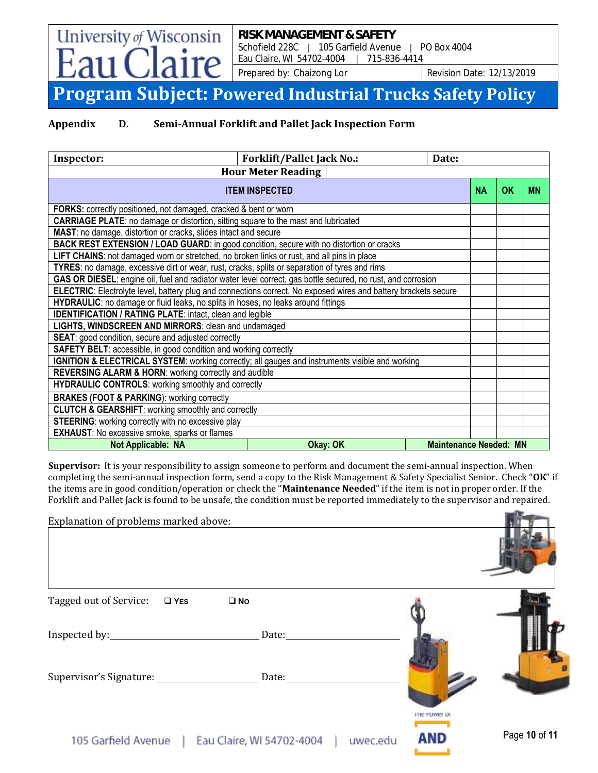Prepared by: Chaizong Lor Revision Date: 12/13/2019

### **Program Subject: Powered Industrial Trucks Safety Policy**

University of Wisconsin

ire

**Appendix D. Semi-Annual Forklift and Pallet Jack Inspection Form**

| Inspector:                                                                                                      | <b>Forklift/Pallet Jack No.:</b>                    | Date:                         |    |           |  |  |  |
|-----------------------------------------------------------------------------------------------------------------|-----------------------------------------------------|-------------------------------|----|-----------|--|--|--|
|                                                                                                                 | <b>Hour Meter Reading</b>                           |                               |    |           |  |  |  |
|                                                                                                                 | <b>ITEM INSPECTED</b>                               | <b>NA</b>                     | OK | <b>MN</b> |  |  |  |
| FORKS: correctly positioned, not damaged, cracked & bent or worn                                                |                                                     |                               |    |           |  |  |  |
| <b>CARRIAGE PLATE:</b> no damage or distortion, sitting square to the mast and lubricated                       |                                                     |                               |    |           |  |  |  |
| MAST: no damage, distortion or cracks, slides intact and secure                                                 |                                                     |                               |    |           |  |  |  |
| BACK REST EXTENSION / LOAD GUARD: in good condition, secure with no distortion or cracks                        |                                                     |                               |    |           |  |  |  |
| LIFT CHAINS: not damaged worn or stretched, no broken links or rust, and all pins in place                      |                                                     |                               |    |           |  |  |  |
| TYRES: no damage, excessive dirt or wear, rust, cracks, splits or separation of tyres and rims                  |                                                     |                               |    |           |  |  |  |
| GAS OR DIESEL: engine oil, fuel and radiator water level correct, gas bottle secured, no rust, and corrosion    |                                                     |                               |    |           |  |  |  |
| ELECTRIC: Electrolyte level, battery plug and connections correct. No exposed wires and battery brackets secure |                                                     |                               |    |           |  |  |  |
| HYDRAULIC: no damage or fluid leaks, no splits in hoses, no leaks around fittings                               |                                                     |                               |    |           |  |  |  |
| <b>IDENTIFICATION / RATING PLATE: intact, clean and legible</b>                                                 |                                                     |                               |    |           |  |  |  |
|                                                                                                                 | LIGHTS, WINDSCREEN AND MIRRORS: clean and undamaged |                               |    |           |  |  |  |
| <b>SEAT:</b> good condition, secure and adjusted correctly                                                      |                                                     |                               |    |           |  |  |  |
| <b>SAFETY BELT:</b> accessible, in good condition and working correctly                                         |                                                     |                               |    |           |  |  |  |
| IGNITION & ELECTRICAL SYSTEM: working correctly; all gauges and instruments visible and working                 |                                                     |                               |    |           |  |  |  |
| <b>REVERSING ALARM &amp; HORN: working correctly and audible</b>                                                |                                                     |                               |    |           |  |  |  |
| <b>HYDRAULIC CONTROLS:</b> working smoothly and correctly                                                       |                                                     |                               |    |           |  |  |  |
| <b>BRAKES (FOOT &amp; PARKING): working correctly</b>                                                           |                                                     |                               |    |           |  |  |  |
| <b>CLUTCH &amp; GEARSHIFT:</b> working smoothly and correctly                                                   |                                                     |                               |    |           |  |  |  |
| STEERING: working correctly with no excessive play                                                              |                                                     |                               |    |           |  |  |  |
| <b>EXHAUST:</b> No excessive smoke, sparks or flames                                                            |                                                     |                               |    |           |  |  |  |
| <b>Not Applicable: NA</b>                                                                                       | Okay: OK                                            | <b>Maintenance Needed: MN</b> |    |           |  |  |  |

**Supervisor:** It is your responsibility to assign someone to perform and document the semi-annual inspection. When completing the semi-annual inspection form, send a copy to the Risk Management & Safety Specialist Senior. Check "**OK**" if the items are in good condition/operation or check the "**Maintenance Needed**" if the item is not in proper order. If the Forklift and Pallet Jack is found to be unsafe, the condition must be reported immediately to the supervisor and repaired.

| Explanation of problems marked above:   |                           |                                 |               |
|-----------------------------------------|---------------------------|---------------------------------|---------------|
| Tagged out of Service:<br>$\square$ YES | $\square$ No              |                                 |               |
|                                         | Date:                     |                                 |               |
| Supervisor's Signature: Date: Date:     |                           |                                 |               |
| 105 Garfield Avenue                     | Eau Claire. WI 54702-4004 | The Fower of<br>AND<br>uwec.edu | Page 10 of 11 |